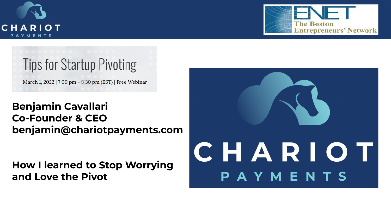



# **Tips for Startup Pivoting**

March 1, 2022 | 7:00 pm - 8:30 pm (EST) | Free Webinar

**Benjamin Cavallari Co-Founder & CEO benjamin@chariotpayments.com**

**How I learned to Stop Worrying and Love the Pivot**

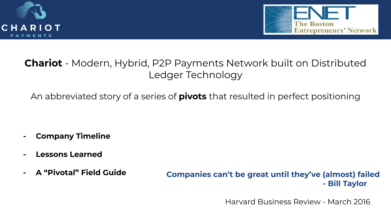



## **Chariot** - Modern, Hybrid, P2P Payments Network built on Distributed Ledger Technology

An abbreviated story of a series of **pivots** that resulted in perfect positioning

- **- Company Timeline**
- **- Lessons Learned**
- 

**- A "Pivotal" Field Guide Companies can't be great until they've (almost) failed - Bill Taylor**

Harvard Business Review - March 2016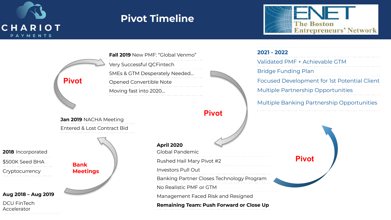

**3**

## **Pivot Timeline**



**2018** Incorporated \$500K Seed BHA Cryptocurrency **Aug 2018 – Aug 2019** DCU FinTech Accelerator **Jan 2019** NACHA Meeting Entered & Lost Contract Bid **Fall 2019** New PMF: "Global Venmo" Very Successful QCFintech SMEs & GTM Desperately Needed… Opened Convertible Note Moving fast into 2020… **April 2020 Pivot Bank Meetings**

**2021 - 2022** Validated PMF + Achievable GTM Bridge Funding Plan Focused Development for 1st Potential Client Multiple Partnership Opportunities Multiple Banking Partnership Opportunities

**Pivot**

Global Pandemic

Rushed Hail Mary Pivot #2

Investors Pull Out

Banking Partner Closes Technology Program No Realistic PMF or GTM

**Pivot**

Management Faced Risk and Resigned

**Remaining Team: Push Forward or Close Up**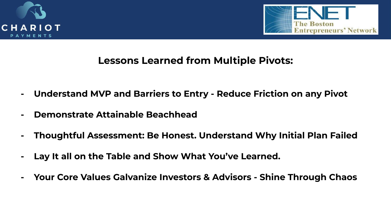



### **Lessons Learned from Multiple Pivots:**

- **- Understand MVP and Barriers to Entry Reduce Friction on any Pivot**
- **- Demonstrate Attainable Beachhead**
- **- Thoughtful Assessment: Be Honest. Understand Why Initial Plan Failed**
- **- Lay It all on the Table and Show What You've Learned.**
- **- Your Core Values Galvanize Investors & Advisors Shine Through Chaos**